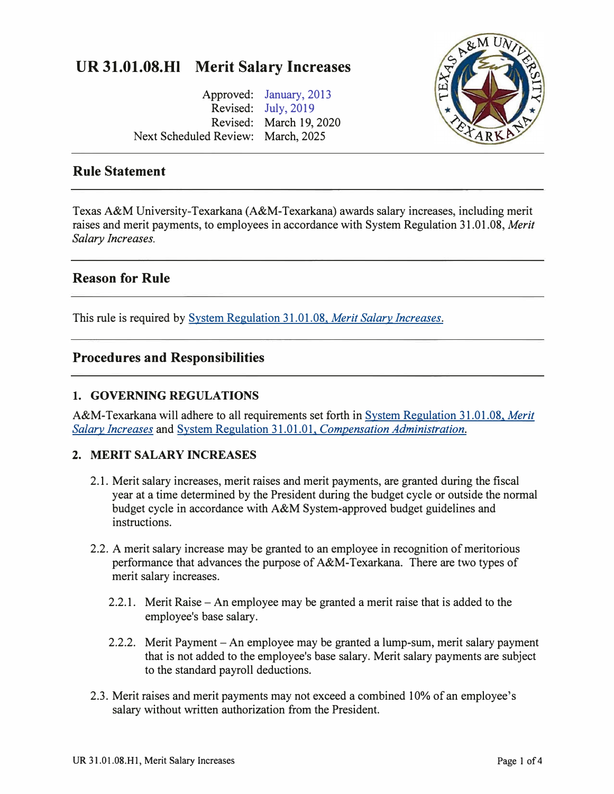# **UR 31.01.08.HI Merit Salary Increases**

Approved: [January, 2013](https://www.tamut.edu/about/administration/about/rules/archive_Rules_Procedure/31-01-08-H1%20SIGNED%20FINAL%20130110%20-%20Merit%20Salary%20Increase%2009182013.pdf) Revised: [July, 2019](https://www.tamut.edu/about/administration/about/rules/archive_Rules_Procedure/31-01-08-H1_July2019Rev.pdf) Revised: March 19, 2020 Next Scheduled Review: March, 2025



## **Rule Statement**

Texas A&M University-Texarkana (A&M-Texarkana) awards salary increases, including merit raises and merit payments, to employees in accordance with System Regulation 31.01.08, *Merit Salary Increases.* 

# **Reason for Rule**

This rule is required by [System Regulation 31.01.08,](http://policies.tamus.edu/31-01-08.pdf) *Merit Salary Increases.* 

## **Procedures and Responsibilities**

### **1. GOVERNING REGULATIONS**

A&M-Texarkana will adhere to all requirements set forth i[n System Regulation 31.01.08,](http://policies.tamus.edu/31-01-08.pdf) *Merit [Salary Increases](http://policies.tamus.edu/31-01-08.pdf)* and System Regulation 31.01.01, *[Compensation Administration.](http://policies.tamus.edu/31-01-01.pdf)* 

## **2. MERIT SALARY INCREASES**

- 2.1. Merit salary increases, merit raises and merit payments, are granted during the fiscal year at a time determined by the President during the budget cycle or outside the normal budget cycle in accordance with A&M System-approved budget guidelines and instructions.
- 2.2. A merit salary increase may be granted to an employee in recognition of meritorious performance that advances the purpose of A&M-Texarkana. There are two types of merit salary increases.
	- 2.2.1. Merit Raise An employee may be granted a merit raise that is added to the employee's base salary.
	- 2.2.2. Merit Payment An employee may be granted a lump-sum, merit salary payment that is not added to the employee's base salary. Merit salary payments are subject to the standard payroll deductions.
- 2.3. Merit raises and merit payments may not exceed a combined 10% of an employee's salary without written authorization from the President.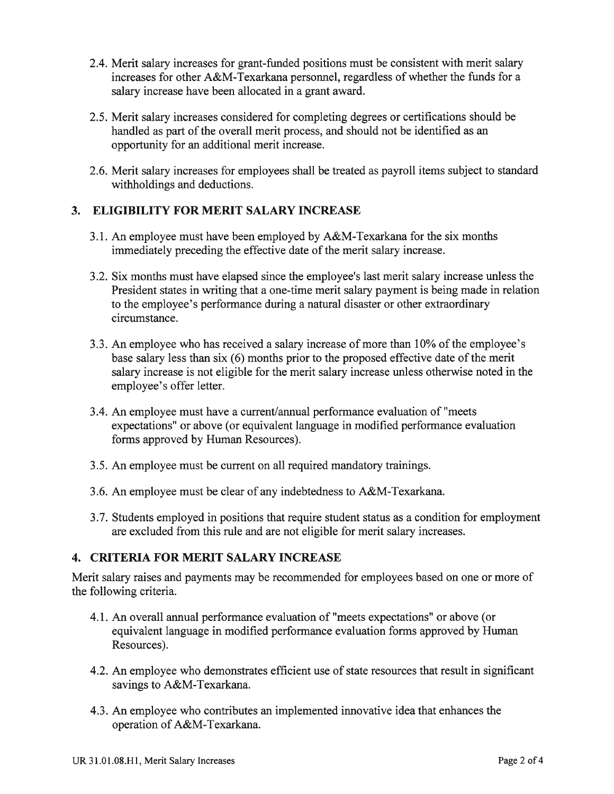- 2.4. Merit salary increases for grant-funded positions must be consistent with merit salary increases for other A&M-Texarkana personnel, regardless of whether the funds for a salary increase have been allocated in a grant award.
- 2.5. Merit salary increases considered for completing degrees or certifications should be handled as part of the overall merit process, and should not be identified as an opportunity for an additional merit increase.
- 2.6. Merit salary increases for employees shall be treated as payroll items subject to standard withholdings and deductions.

#### 3. ELIGIBILITY FOR MERIT SALARY INCREASE

- 3.1. An employee must have been employed by A&M-Texarkana for the six months immediately preceding the effective date of the merit salary increase.
- 3.2. Six months must have elapsed since the employee's last merit salary increase unless the President states in writing that a one-time merit salary payment is being made in relation to the employee's performance during a natural disaster or other extraordinary circumstance.
- 3.3. An employee who has received a salary increase of more than 10% of the employee's base salary less than six (6) months prior to the proposed effective date of the merit salary increase is not eligible for the merit salary increase unless otherwise noted in the employee's offer letter.
- 3.4. An employee must have a current/annual performance evaluation of "meets" expectations" or above (or equivalent language in modified performance evaluation forms approved by Human Resources).
- 3.5. An employee must be current on all required mandatory trainings.
- 3.6. An employee must be clear of any indebtedness to A&M-Texarkana.
- 3.7. Students employed in positions that require student status as a condition for employment are excluded from this rule and are not eligible for merit salary increases.

#### 4. CRITERIA FOR MERIT SALARY INCREASE

Merit salary raises and payments may be recommended for employees based on one or more of the following criteria.

- 4.1. An overall annual performance evaluation of "meets expectations" or above (or equivalent language in modified performance evaluation forms approved by Human Resources).
- 4.2. An employee who demonstrates efficient use of state resources that result in significant savings to A&M-Texarkana.
- 4.3. An employee who contributes an implemented innovative idea that enhances the operation of A&M-Texarkana.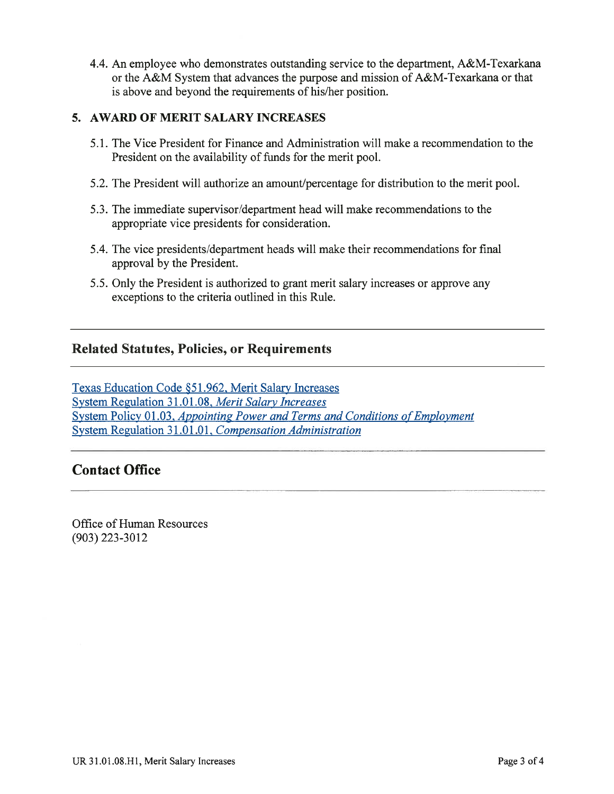4.4. An employee who demonstrates outstanding service to the department, A&M-Texarkana or the A&M System that advances the purpose and mission of A&M-Texarkana or that is above and beyond the requirements of his/her position.

#### 5. AWARD OF MERIT SALARY INCREASES

- 5.1. The Vice President for Finance and Administration will make a recommendation to the President on the availability of funds for the merit pool.
- 5.2. The President will authorize an amount/percentage for distribution to the merit pool.
- 5.3. The immediate supervisor/department head will make recommendations to the appropriate vice presidents for consideration.
- 5.4. The vice presidents/department heads will make their recommendations for final approval by the President.
- 5.5. Only the President is authorized to grant merit salary increases or approve any exceptions to the criteria outlined in this Rule.

# **Related Statutes, Policies, or Requirements**

Texas Education Code §51.962, Merit Salary Increases System Regulation 31.01.08, Merit Salary Increases System Policy 01.03, Appointing Power and Terms and Conditions of Employment System Regulation 31.01.01, Compensation Administration

# **Contact Office**

Office of Human Resources  $(903)$  223-3012